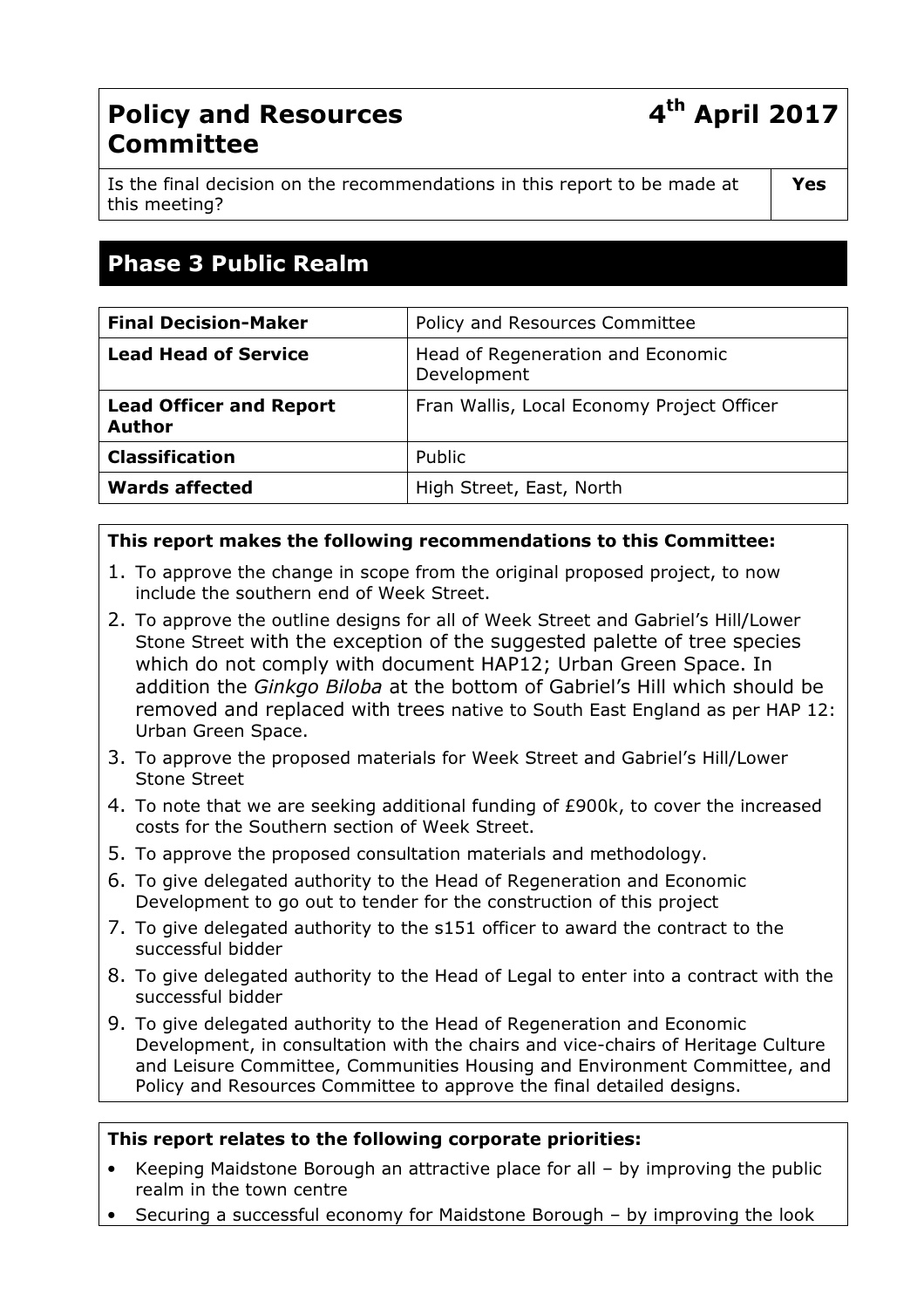# Policy and Resources Committee

Is the final decision on the recommendations in this report to be made at this meeting?

# Phase 3 Public Realm

| <b>Final Decision-Maker</b><br>Policy and Resources Committee<br><b>Lead Head of Service</b><br>Head of Regeneration and Economic<br>Development<br>Fran Wallis, Local Economy Project Officer<br><b>Lead Officer and Report</b><br><b>Author</b> |                       |        |
|---------------------------------------------------------------------------------------------------------------------------------------------------------------------------------------------------------------------------------------------------|-----------------------|--------|
|                                                                                                                                                                                                                                                   |                       |        |
|                                                                                                                                                                                                                                                   |                       |        |
|                                                                                                                                                                                                                                                   |                       |        |
|                                                                                                                                                                                                                                                   | <b>Classification</b> | Public |
| <b>Wards affected</b><br>High Street, East, North                                                                                                                                                                                                 |                       |        |

## This report makes the following recommendations to this Committee:

- 1. To approve the change in scope from the original proposed project, to now include the southern end of Week Street.
- 2. To approve the outline designs for all of Week Street and Gabriel's Hill/Lower Stone Street with the exception of the suggested palette of tree species which do not comply with document HAP12; Urban Green Space. In addition the Ginkgo Biloba at the bottom of Gabriel's Hill which should be removed and replaced with trees native to South East England as per HAP 12: Urban Green Space.
- 3. To approve the proposed materials for Week Street and Gabriel's Hill/Lower Stone Street
- 4. To note that we are seeking additional funding of £900k, to cover the increased costs for the Southern section of Week Street.
- 5. To approve the proposed consultation materials and methodology.
- 6. To give delegated authority to the Head of Regeneration and Economic Development to go out to tender for the construction of this project
- 7. To give delegated authority to the s151 officer to award the contract to the successful bidder
- 8. To give delegated authority to the Head of Legal to enter into a contract with the successful bidder
- 9. To give delegated authority to the Head of Regeneration and Economic Development, in consultation with the chairs and vice-chairs of Heritage Culture and Leisure Committee, Communities Housing and Environment Committee, and Policy and Resources Committee to approve the final detailed designs.

#### This report relates to the following corporate priorities:

- Keeping Maidstone Borough an attractive place for all by improving the public realm in the town centre
- Securing a successful economy for Maidstone Borough by improving the look

# 4<sup>th</sup> April 2017

Yes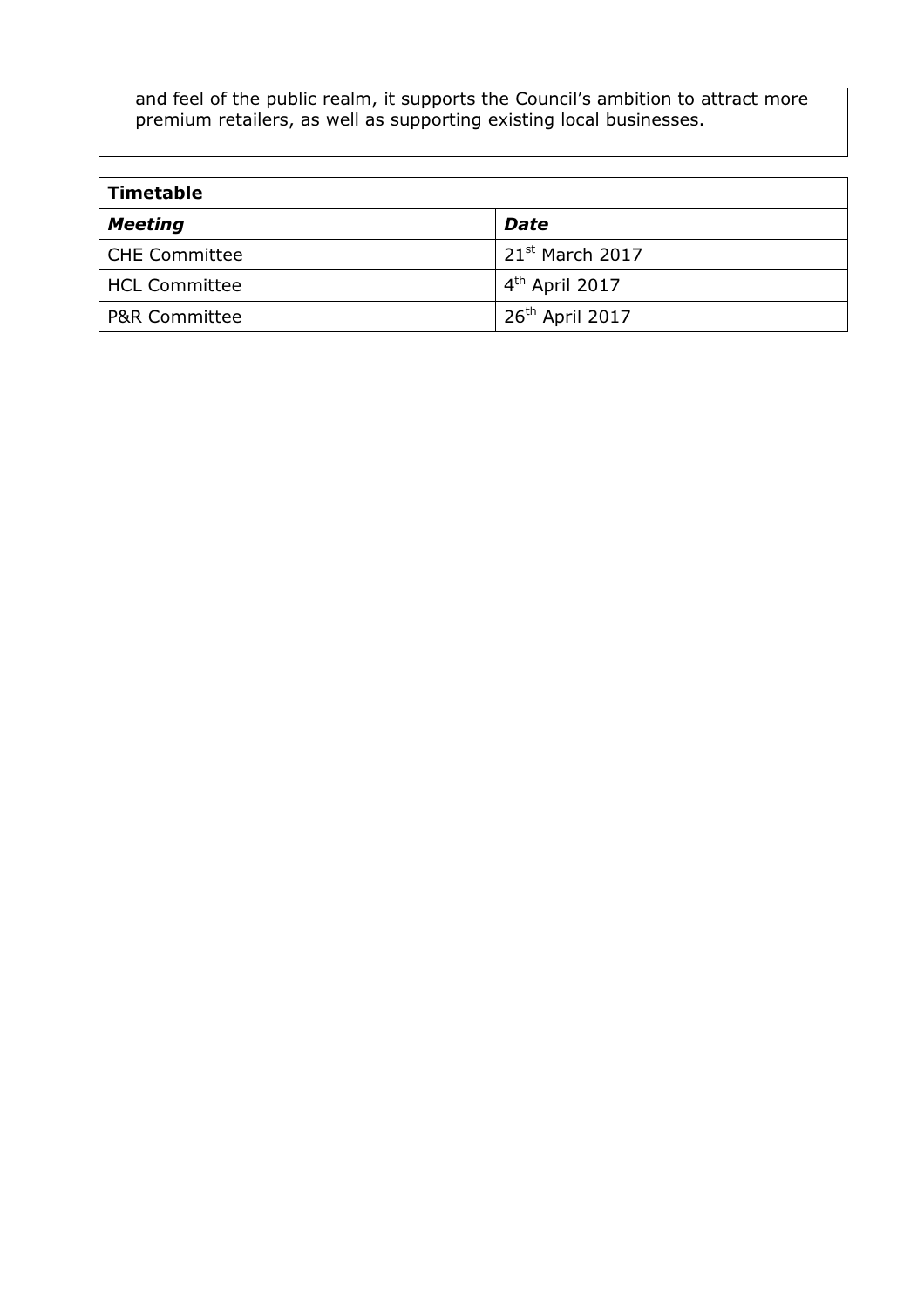and feel of the public realm, it supports the Council's ambition to attract more premium retailers, as well as supporting existing local businesses.

| <b>Timetable</b>         |                      |  |
|--------------------------|----------------------|--|
| <b>Meeting</b>           | <b>Date</b>          |  |
| <b>CHE Committee</b>     | $21^{st}$ March 2017 |  |
| <b>HCL Committee</b>     | $4th$ April 2017     |  |
| <b>P&amp;R Committee</b> | $26th$ April 2017    |  |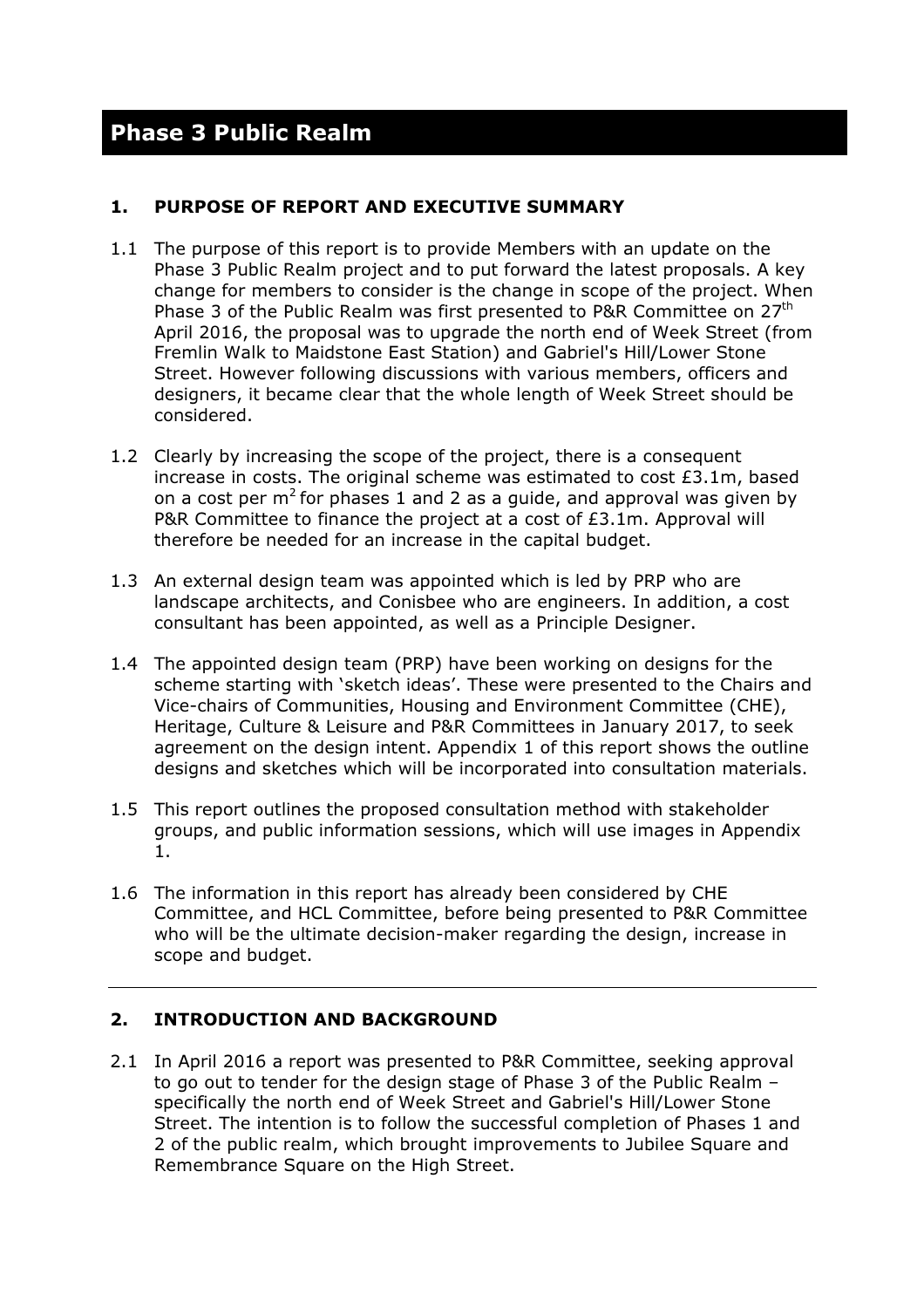#### 1. PURPOSE OF REPORT AND EXECUTIVE SUMMARY

- 1.1 The purpose of this report is to provide Members with an update on the Phase 3 Public Realm project and to put forward the latest proposals. A key change for members to consider is the change in scope of the project. When Phase 3 of the Public Realm was first presented to P&R Committee on 27<sup>th</sup> April 2016, the proposal was to upgrade the north end of Week Street (from Fremlin Walk to Maidstone East Station) and Gabriel's Hill/Lower Stone Street. However following discussions with various members, officers and designers, it became clear that the whole length of Week Street should be considered.
- 1.2 Clearly by increasing the scope of the project, there is a consequent increase in costs. The original scheme was estimated to cost  $£3.1m$ , based on a cost per  $m^2$  for phases 1 and 2 as a guide, and approval was given by P&R Committee to finance the project at a cost of £3.1m. Approval will therefore be needed for an increase in the capital budget.
- 1.3 An external design team was appointed which is led by PRP who are landscape architects, and Conisbee who are engineers. In addition, a cost consultant has been appointed, as well as a Principle Designer.
- 1.4 The appointed design team (PRP) have been working on designs for the scheme starting with 'sketch ideas'. These were presented to the Chairs and Vice-chairs of Communities, Housing and Environment Committee (CHE), Heritage, Culture & Leisure and P&R Committees in January 2017, to seek agreement on the design intent. Appendix 1 of this report shows the outline designs and sketches which will be incorporated into consultation materials.
- 1.5 This report outlines the proposed consultation method with stakeholder groups, and public information sessions, which will use images in Appendix 1.
- 1.6 The information in this report has already been considered by CHE Committee, and HCL Committee, before being presented to P&R Committee who will be the ultimate decision-maker regarding the design, increase in scope and budget.

# 2. INTRODUCTION AND BACKGROUND

2.1 In April 2016 a report was presented to P&R Committee, seeking approval to go out to tender for the design stage of Phase 3 of the Public Realm – specifically the north end of Week Street and Gabriel's Hill/Lower Stone Street. The intention is to follow the successful completion of Phases 1 and 2 of the public realm, which brought improvements to Jubilee Square and Remembrance Square on the High Street.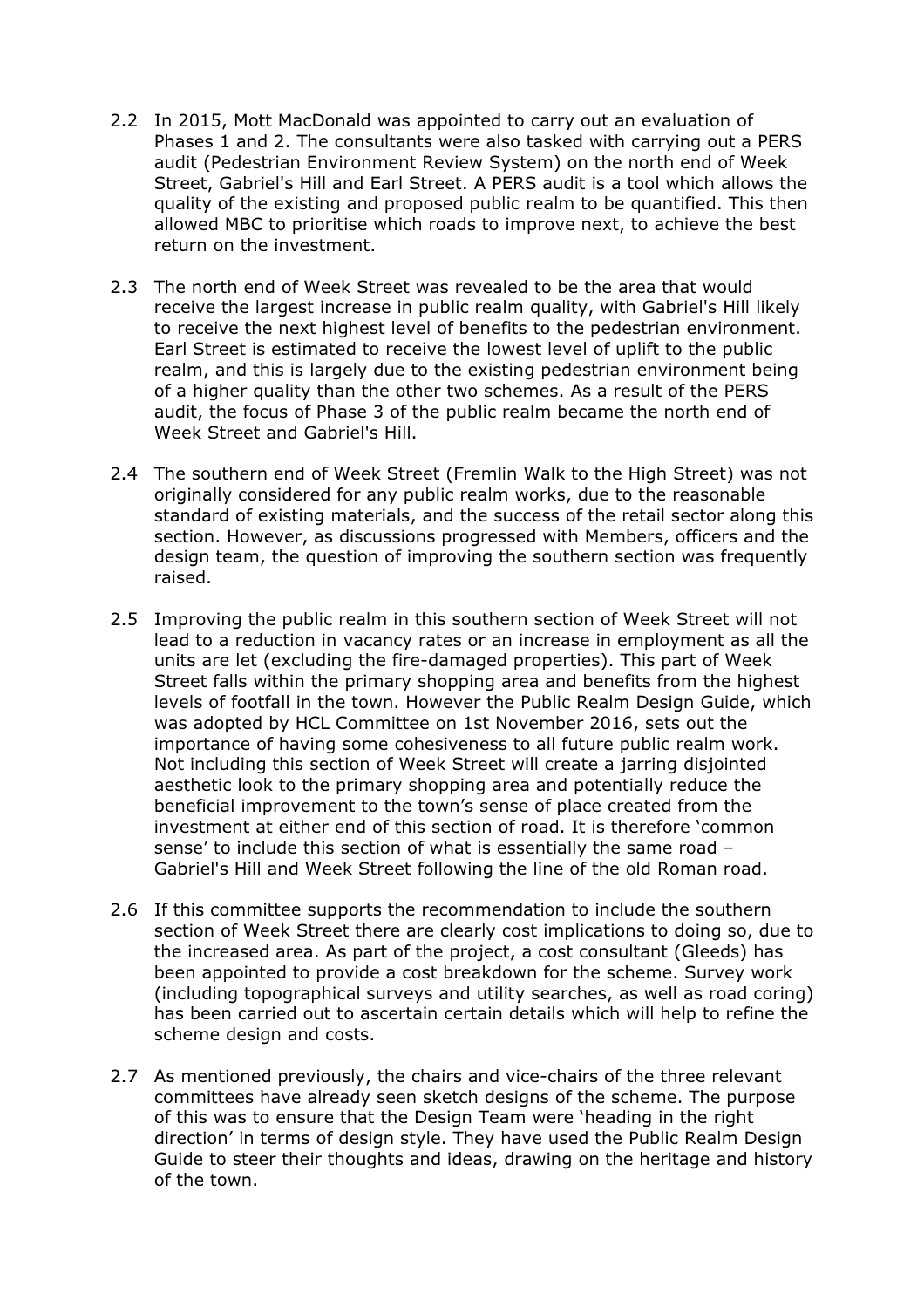- 2.2 In 2015, Mott MacDonald was appointed to carry out an evaluation of Phases 1 and 2. The consultants were also tasked with carrying out a PERS audit (Pedestrian Environment Review System) on the north end of Week Street, Gabriel's Hill and Earl Street. A PERS audit is a tool which allows the quality of the existing and proposed public realm to be quantified. This then allowed MBC to prioritise which roads to improve next, to achieve the best return on the investment.
- 2.3 The north end of Week Street was revealed to be the area that would receive the largest increase in public realm quality, with Gabriel's Hill likely to receive the next highest level of benefits to the pedestrian environment. Earl Street is estimated to receive the lowest level of uplift to the public realm, and this is largely due to the existing pedestrian environment being of a higher quality than the other two schemes. As a result of the PERS audit, the focus of Phase 3 of the public realm became the north end of Week Street and Gabriel's Hill.
- 2.4 The southern end of Week Street (Fremlin Walk to the High Street) was not originally considered for any public realm works, due to the reasonable standard of existing materials, and the success of the retail sector along this section. However, as discussions progressed with Members, officers and the design team, the question of improving the southern section was frequently raised.
- 2.5 Improving the public realm in this southern section of Week Street will not lead to a reduction in vacancy rates or an increase in employment as all the units are let (excluding the fire-damaged properties). This part of Week Street falls within the primary shopping area and benefits from the highest levels of footfall in the town. However the Public Realm Design Guide, which was adopted by HCL Committee on 1st November 2016, sets out the importance of having some cohesiveness to all future public realm work. Not including this section of Week Street will create a jarring disjointed aesthetic look to the primary shopping area and potentially reduce the beneficial improvement to the town's sense of place created from the investment at either end of this section of road. It is therefore 'common sense' to include this section of what is essentially the same road – Gabriel's Hill and Week Street following the line of the old Roman road.
- 2.6 If this committee supports the recommendation to include the southern section of Week Street there are clearly cost implications to doing so, due to the increased area. As part of the project, a cost consultant (Gleeds) has been appointed to provide a cost breakdown for the scheme. Survey work (including topographical surveys and utility searches, as well as road coring) has been carried out to ascertain certain details which will help to refine the scheme design and costs.
- 2.7 As mentioned previously, the chairs and vice-chairs of the three relevant committees have already seen sketch designs of the scheme. The purpose of this was to ensure that the Design Team were 'heading in the right direction' in terms of design style. They have used the Public Realm Design Guide to steer their thoughts and ideas, drawing on the heritage and history of the town.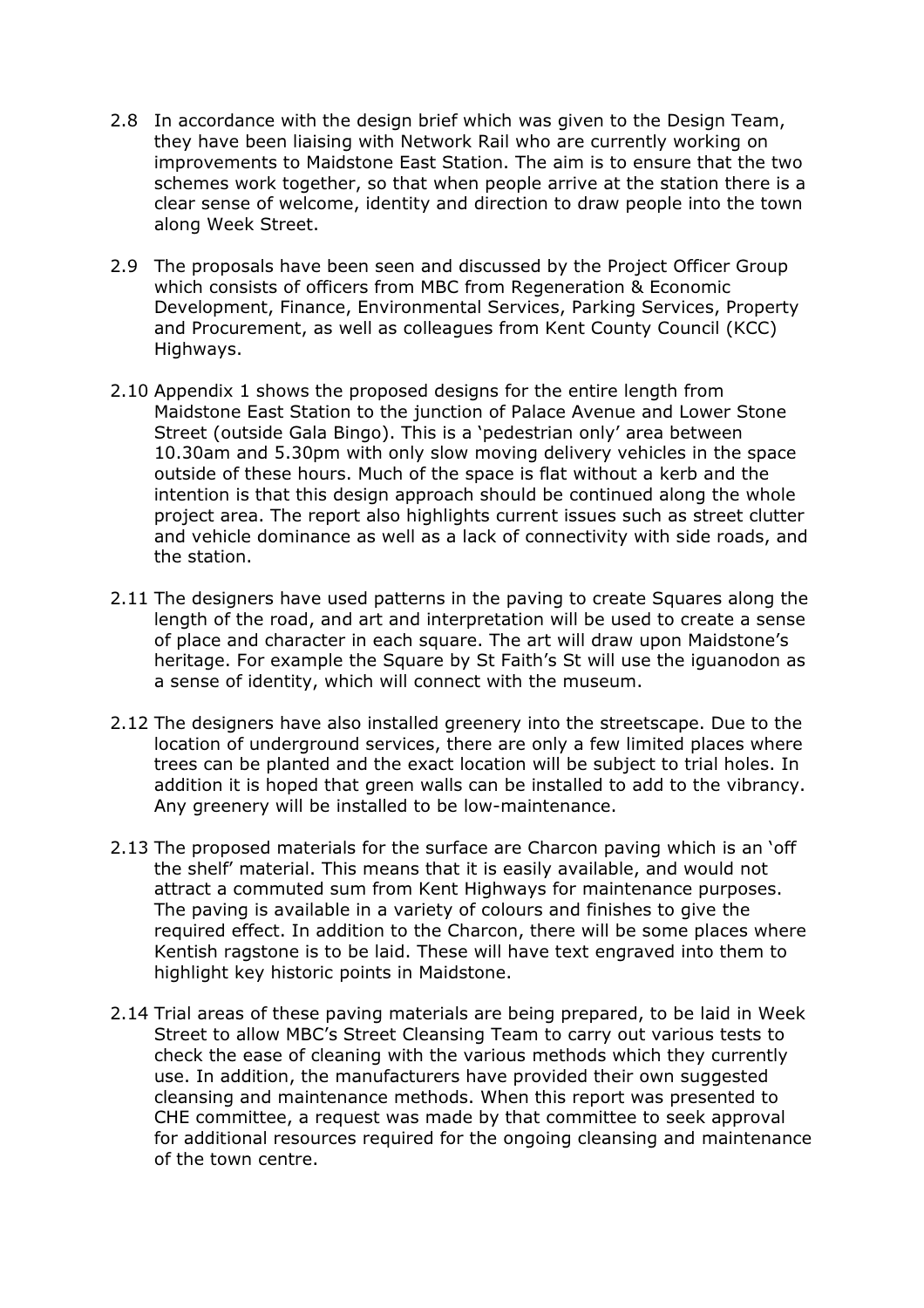- 2.8 In accordance with the design brief which was given to the Design Team, they have been liaising with Network Rail who are currently working on improvements to Maidstone East Station. The aim is to ensure that the two schemes work together, so that when people arrive at the station there is a clear sense of welcome, identity and direction to draw people into the town along Week Street.
- 2.9 The proposals have been seen and discussed by the Project Officer Group which consists of officers from MBC from Regeneration & Economic Development, Finance, Environmental Services, Parking Services, Property and Procurement, as well as colleagues from Kent County Council (KCC) Highways.
- 2.10 Appendix 1 shows the proposed designs for the entire length from Maidstone East Station to the junction of Palace Avenue and Lower Stone Street (outside Gala Bingo). This is a 'pedestrian only' area between 10.30am and 5.30pm with only slow moving delivery vehicles in the space outside of these hours. Much of the space is flat without a kerb and the intention is that this design approach should be continued along the whole project area. The report also highlights current issues such as street clutter and vehicle dominance as well as a lack of connectivity with side roads, and the station.
- 2.11 The designers have used patterns in the paving to create Squares along the length of the road, and art and interpretation will be used to create a sense of place and character in each square. The art will draw upon Maidstone's heritage. For example the Square by St Faith's St will use the iguanodon as a sense of identity, which will connect with the museum.
- 2.12 The designers have also installed greenery into the streetscape. Due to the location of underground services, there are only a few limited places where trees can be planted and the exact location will be subject to trial holes. In addition it is hoped that green walls can be installed to add to the vibrancy. Any greenery will be installed to be low-maintenance.
- 2.13 The proposed materials for the surface are Charcon paving which is an 'off the shelf' material. This means that it is easily available, and would not attract a commuted sum from Kent Highways for maintenance purposes. The paving is available in a variety of colours and finishes to give the required effect. In addition to the Charcon, there will be some places where Kentish ragstone is to be laid. These will have text engraved into them to highlight key historic points in Maidstone.
- 2.14 Trial areas of these paving materials are being prepared, to be laid in Week Street to allow MBC's Street Cleansing Team to carry out various tests to check the ease of cleaning with the various methods which they currently use. In addition, the manufacturers have provided their own suggested cleansing and maintenance methods. When this report was presented to CHE committee, a request was made by that committee to seek approval for additional resources required for the ongoing cleansing and maintenance of the town centre.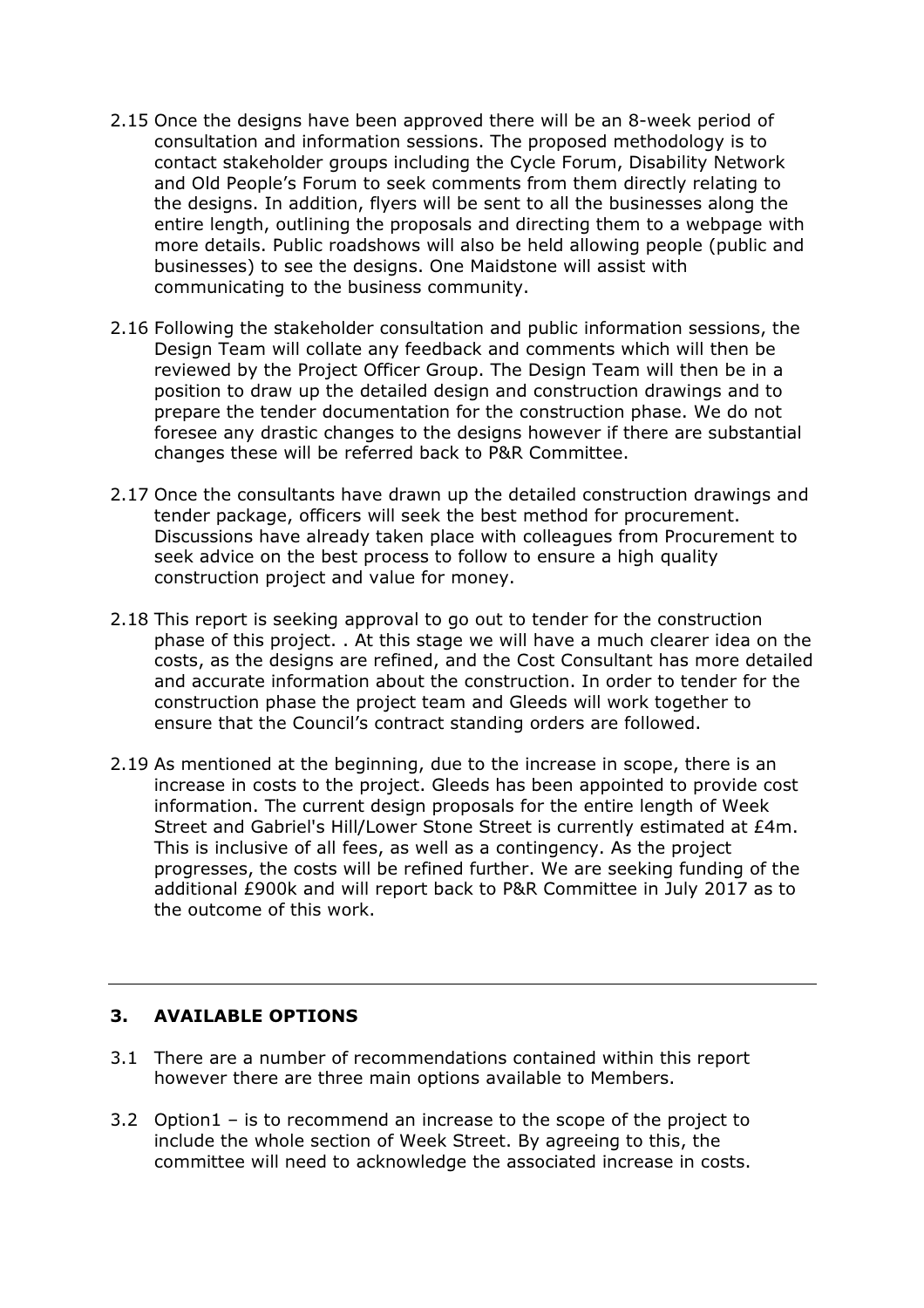- 2.15 Once the designs have been approved there will be an 8-week period of consultation and information sessions. The proposed methodology is to contact stakeholder groups including the Cycle Forum, Disability Network and Old People's Forum to seek comments from them directly relating to the designs. In addition, flyers will be sent to all the businesses along the entire length, outlining the proposals and directing them to a webpage with more details. Public roadshows will also be held allowing people (public and businesses) to see the designs. One Maidstone will assist with communicating to the business community.
- 2.16 Following the stakeholder consultation and public information sessions, the Design Team will collate any feedback and comments which will then be reviewed by the Project Officer Group. The Design Team will then be in a position to draw up the detailed design and construction drawings and to prepare the tender documentation for the construction phase. We do not foresee any drastic changes to the designs however if there are substantial changes these will be referred back to P&R Committee.
- 2.17 Once the consultants have drawn up the detailed construction drawings and tender package, officers will seek the best method for procurement. Discussions have already taken place with colleagues from Procurement to seek advice on the best process to follow to ensure a high quality construction project and value for money.
- 2.18 This report is seeking approval to go out to tender for the construction phase of this project. . At this stage we will have a much clearer idea on the costs, as the designs are refined, and the Cost Consultant has more detailed and accurate information about the construction. In order to tender for the construction phase the project team and Gleeds will work together to ensure that the Council's contract standing orders are followed.
- 2.19 As mentioned at the beginning, due to the increase in scope, there is an increase in costs to the project. Gleeds has been appointed to provide cost information. The current design proposals for the entire length of Week Street and Gabriel's Hill/Lower Stone Street is currently estimated at £4m. This is inclusive of all fees, as well as a contingency. As the project progresses, the costs will be refined further. We are seeking funding of the additional £900k and will report back to P&R Committee in July 2017 as to the outcome of this work.

#### 3. AVAILABLE OPTIONS

- 3.1 There are a number of recommendations contained within this report however there are three main options available to Members.
- 3.2 Option1 is to recommend an increase to the scope of the project to include the whole section of Week Street. By agreeing to this, the committee will need to acknowledge the associated increase in costs.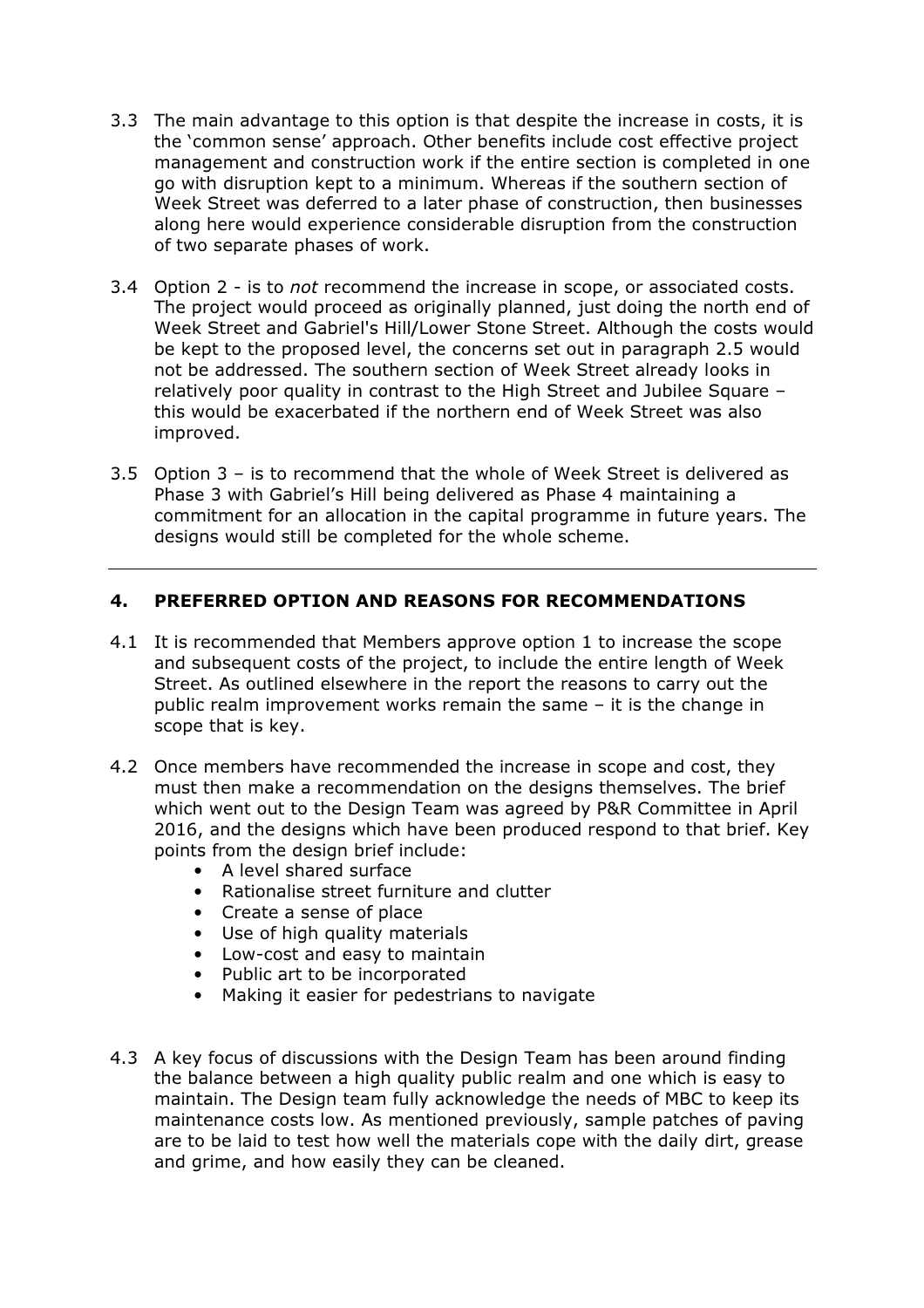- 3.3 The main advantage to this option is that despite the increase in costs, it is the 'common sense' approach. Other benefits include cost effective project management and construction work if the entire section is completed in one go with disruption kept to a minimum. Whereas if the southern section of Week Street was deferred to a later phase of construction, then businesses along here would experience considerable disruption from the construction of two separate phases of work.
- 3.4 Option 2 is to *not* recommend the increase in scope, or associated costs. The project would proceed as originally planned, just doing the north end of Week Street and Gabriel's Hill/Lower Stone Street. Although the costs would be kept to the proposed level, the concerns set out in paragraph 2.5 would not be addressed. The southern section of Week Street already looks in relatively poor quality in contrast to the High Street and Jubilee Square – this would be exacerbated if the northern end of Week Street was also improved.
- 3.5 Option 3 is to recommend that the whole of Week Street is delivered as Phase 3 with Gabriel's Hill being delivered as Phase 4 maintaining a commitment for an allocation in the capital programme in future years. The designs would still be completed for the whole scheme.

## 4. PREFERRED OPTION AND REASONS FOR RECOMMENDATIONS

- 4.1 It is recommended that Members approve option 1 to increase the scope and subsequent costs of the project, to include the entire length of Week Street. As outlined elsewhere in the report the reasons to carry out the public realm improvement works remain the same – it is the change in scope that is key.
- 4.2 Once members have recommended the increase in scope and cost, they must then make a recommendation on the designs themselves. The brief which went out to the Design Team was agreed by P&R Committee in April 2016, and the designs which have been produced respond to that brief. Key points from the design brief include:
	- A level shared surface
	- Rationalise street furniture and clutter
	- Create a sense of place
	- Use of high quality materials
	- Low-cost and easy to maintain
	- Public art to be incorporated
	- Making it easier for pedestrians to navigate
- 4.3 A key focus of discussions with the Design Team has been around finding the balance between a high quality public realm and one which is easy to maintain. The Design team fully acknowledge the needs of MBC to keep its maintenance costs low. As mentioned previously, sample patches of paving are to be laid to test how well the materials cope with the daily dirt, grease and grime, and how easily they can be cleaned.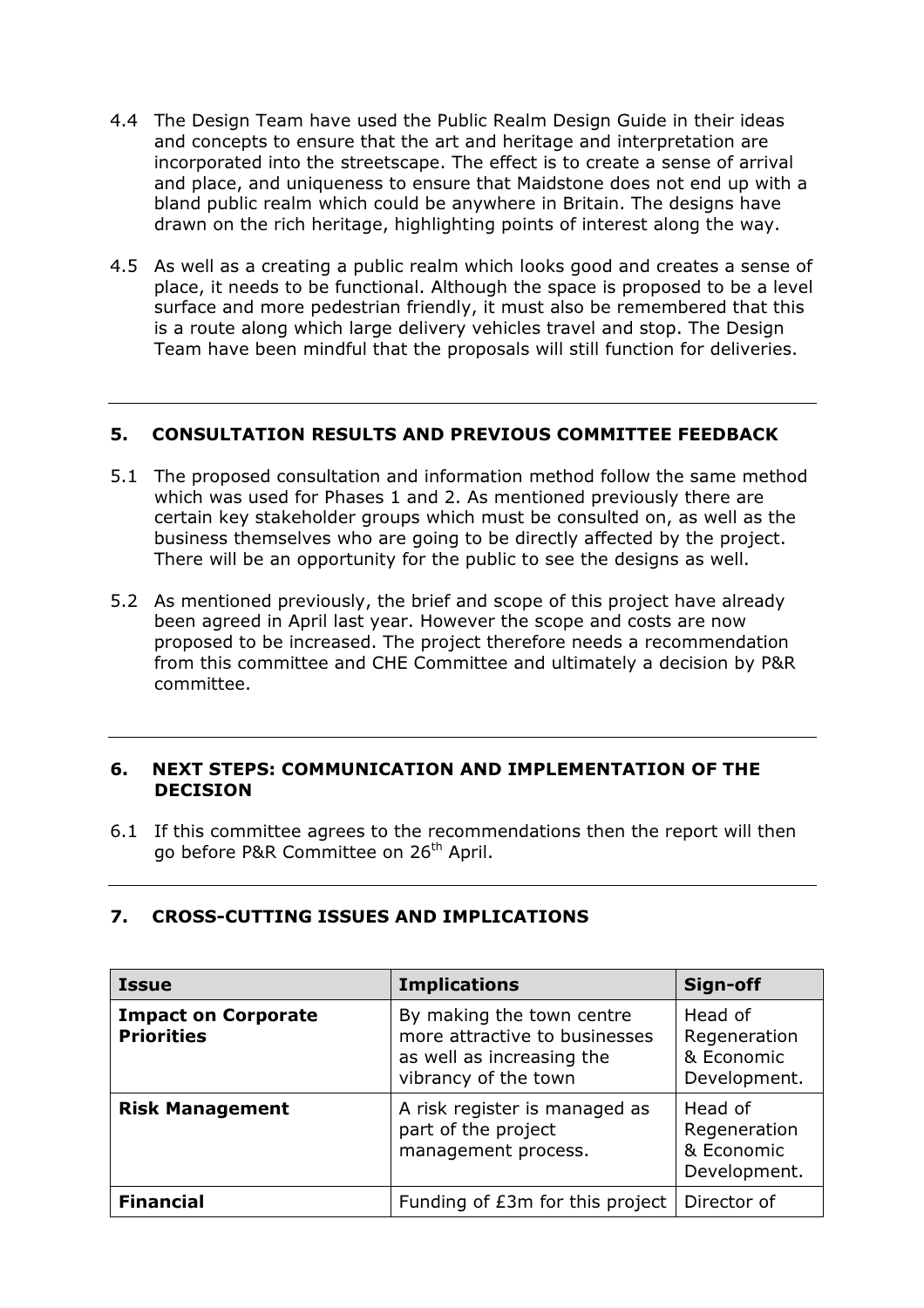- 4.4 The Design Team have used the Public Realm Design Guide in their ideas and concepts to ensure that the art and heritage and interpretation are incorporated into the streetscape. The effect is to create a sense of arrival and place, and uniqueness to ensure that Maidstone does not end up with a bland public realm which could be anywhere in Britain. The designs have drawn on the rich heritage, highlighting points of interest along the way.
- 4.5 As well as a creating a public realm which looks good and creates a sense of place, it needs to be functional. Although the space is proposed to be a level surface and more pedestrian friendly, it must also be remembered that this is a route along which large delivery vehicles travel and stop. The Design Team have been mindful that the proposals will still function for deliveries.

#### 5. CONSULTATION RESULTS AND PREVIOUS COMMITTEE FEEDBACK

- 5.1 The proposed consultation and information method follow the same method which was used for Phases 1 and 2. As mentioned previously there are certain key stakeholder groups which must be consulted on, as well as the business themselves who are going to be directly affected by the project. There will be an opportunity for the public to see the designs as well.
- 5.2 As mentioned previously, the brief and scope of this project have already been agreed in April last year. However the scope and costs are now proposed to be increased. The project therefore needs a recommendation from this committee and CHE Committee and ultimately a decision by P&R committee.

#### 6. NEXT STEPS: COMMUNICATION AND IMPLEMENTATION OF THE DECISION

6.1 If this committee agrees to the recommendations then the report will then go before P&R Committee on 26<sup>th</sup> April.

#### 7. CROSS-CUTTING ISSUES AND IMPLICATIONS

| <b>Issue</b>                                    | <b>Implications</b>                                                                                             | Sign-off                                              |
|-------------------------------------------------|-----------------------------------------------------------------------------------------------------------------|-------------------------------------------------------|
| <b>Impact on Corporate</b><br><b>Priorities</b> | By making the town centre<br>more attractive to businesses<br>as well as increasing the<br>vibrancy of the town | Head of<br>Regeneration<br>& Economic<br>Development. |
| <b>Risk Management</b>                          | A risk register is managed as<br>part of the project<br>management process.                                     | Head of<br>Regeneration<br>& Economic<br>Development. |
| <b>Financial</b>                                | Funding of £3m for this project                                                                                 | Director of                                           |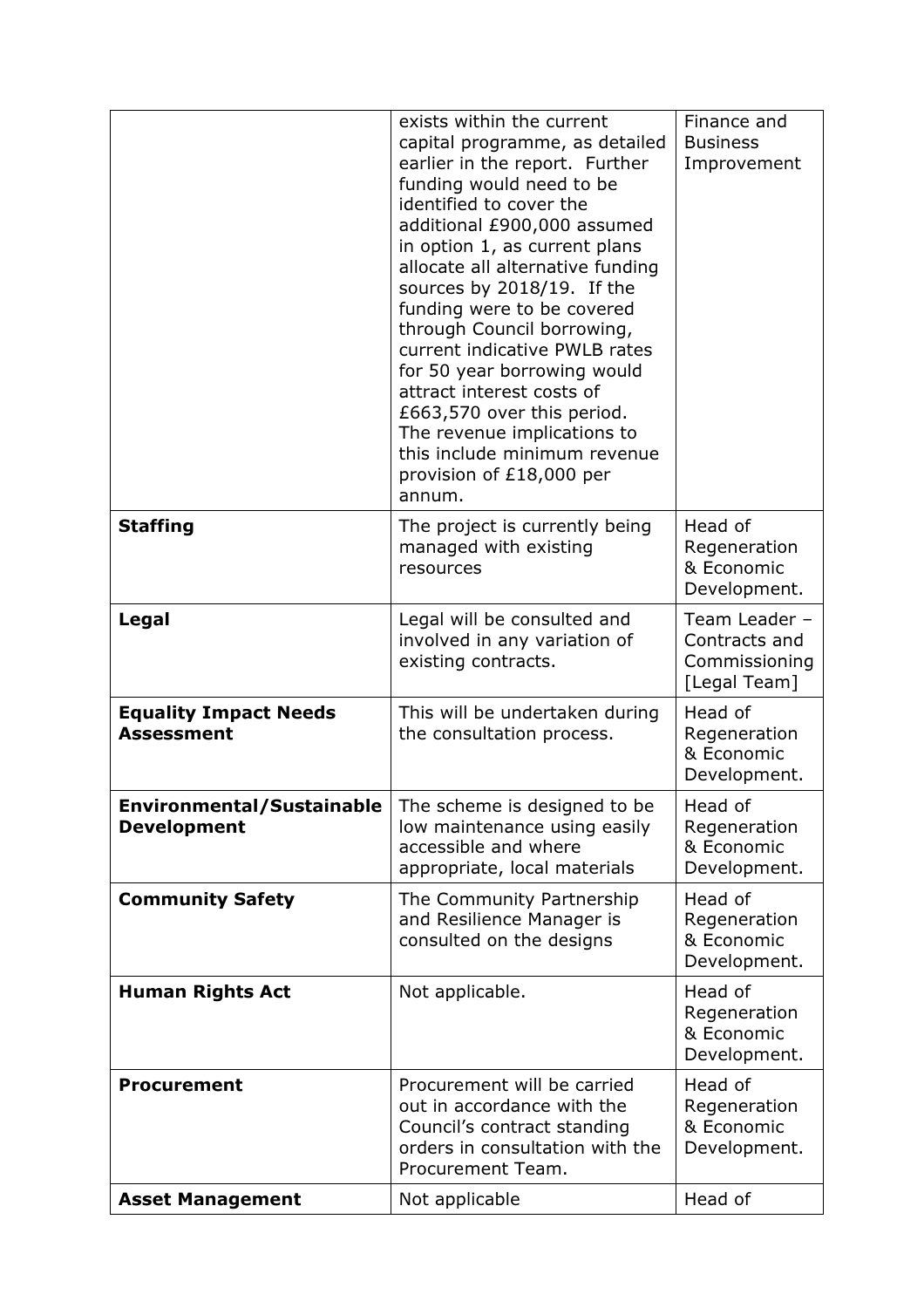|                                                        | exists within the current<br>capital programme, as detailed<br>earlier in the report. Further<br>funding would need to be<br>identified to cover the<br>additional £900,000 assumed<br>in option 1, as current plans<br>allocate all alternative funding<br>sources by 2018/19. If the<br>funding were to be covered<br>through Council borrowing,<br>current indicative PWLB rates<br>for 50 year borrowing would<br>attract interest costs of<br>£663,570 over this period.<br>The revenue implications to<br>this include minimum revenue<br>provision of £18,000 per<br>annum. | Finance and<br><b>Business</b><br>Improvement                   |
|--------------------------------------------------------|------------------------------------------------------------------------------------------------------------------------------------------------------------------------------------------------------------------------------------------------------------------------------------------------------------------------------------------------------------------------------------------------------------------------------------------------------------------------------------------------------------------------------------------------------------------------------------|-----------------------------------------------------------------|
| <b>Staffing</b>                                        | The project is currently being<br>managed with existing<br>resources                                                                                                                                                                                                                                                                                                                                                                                                                                                                                                               | Head of<br>Regeneration<br>& Economic<br>Development.           |
| Legal                                                  | Legal will be consulted and<br>involved in any variation of<br>existing contracts.                                                                                                                                                                                                                                                                                                                                                                                                                                                                                                 | Team Leader -<br>Contracts and<br>Commissioning<br>[Legal Team] |
| <b>Equality Impact Needs</b><br><b>Assessment</b>      | This will be undertaken during<br>the consultation process.                                                                                                                                                                                                                                                                                                                                                                                                                                                                                                                        | Head of<br>Regeneration<br>& Economic<br>Development.           |
| <b>Environmental/Sustainable</b><br><b>Development</b> | The scheme is designed to be<br>low maintenance using easily<br>accessible and where<br>appropriate, local materials                                                                                                                                                                                                                                                                                                                                                                                                                                                               | Head of<br>Regeneration<br>& Economic<br>Development.           |
| <b>Community Safety</b>                                | The Community Partnership<br>and Resilience Manager is<br>consulted on the designs                                                                                                                                                                                                                                                                                                                                                                                                                                                                                                 | Head of<br>Regeneration<br>& Economic<br>Development.           |
| <b>Human Rights Act</b>                                | Not applicable.                                                                                                                                                                                                                                                                                                                                                                                                                                                                                                                                                                    | Head of<br>Regeneration<br>& Economic<br>Development.           |
| <b>Procurement</b>                                     | Procurement will be carried<br>out in accordance with the<br>Council's contract standing<br>orders in consultation with the<br>Procurement Team.                                                                                                                                                                                                                                                                                                                                                                                                                                   | Head of<br>Regeneration<br>& Economic<br>Development.           |
| <b>Asset Management</b>                                | Not applicable                                                                                                                                                                                                                                                                                                                                                                                                                                                                                                                                                                     | Head of                                                         |